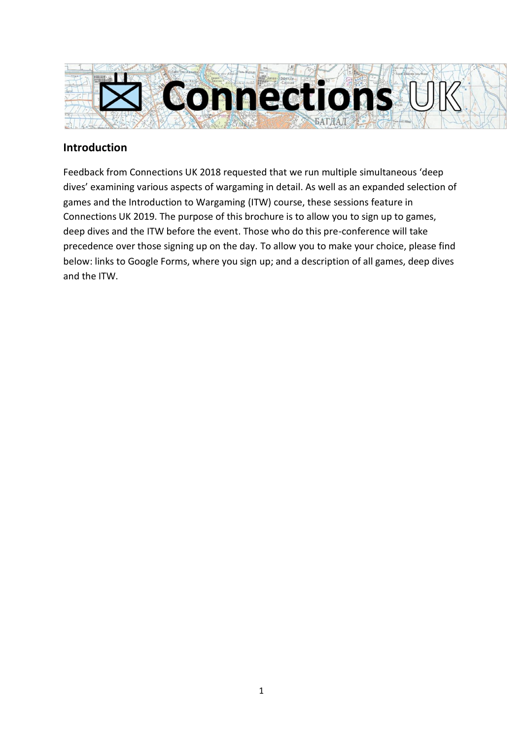

## **Introduction**

Feedback from Connections UK 2018 requested that we run multiple simultaneous 'deep dives' examining various aspects of wargaming in detail. As well as an expanded selection of games and the Introduction to Wargaming (ITW) course, these sessions feature in Connections UK 2019. The purpose of this brochure is to allow you to sign up to games, deep dives and the ITW before the event. Those who do this pre-conference will take precedence over those signing up on the day. To allow you to make your choice, please find below: links to Google Forms, where you sign up; and a description of all games, deep dives and the ITW.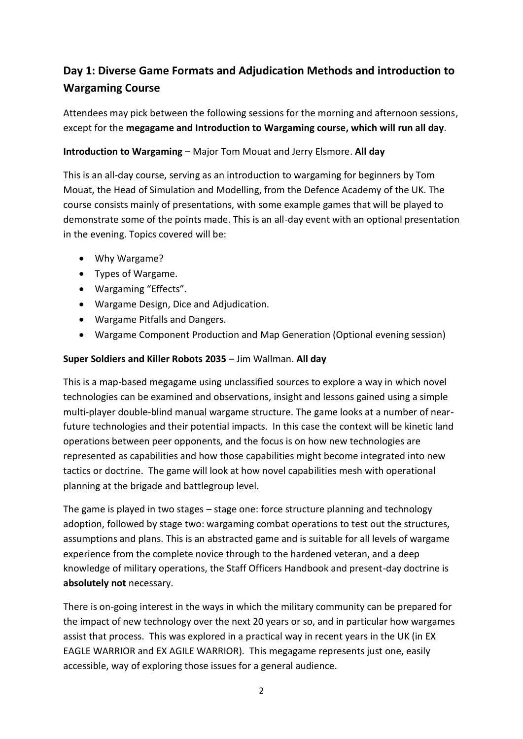# **Day 1: Diverse Game Formats and Adjudication Methods and introduction to Wargaming Course**

Attendees may pick between the following sessions for the morning and afternoon sessions, except for the **megagame and Introduction to Wargaming course, which will run all day**.

## **Introduction to Wargaming** – Major Tom Mouat and Jerry Elsmore. **All day**

This is an all-day course, serving as an introduction to wargaming for beginners by Tom Mouat, the Head of Simulation and Modelling, from the Defence Academy of the UK. The course consists mainly of presentations, with some example games that will be played to demonstrate some of the points made. This is an all-day event with an optional presentation in the evening. Topics covered will be:

- Why Wargame?
- Types of Wargame.
- Wargaming "Effects".
- Wargame Design, Dice and Adjudication.
- Wargame Pitfalls and Dangers.
- Wargame Component Production and Map Generation (Optional evening session)

## **Super Soldiers and Killer Robots 2035** – Jim Wallman. **All day**

This is a map-based megagame using unclassified sources to explore a way in which novel technologies can be examined and observations, insight and lessons gained using a simple multi-player double-blind manual wargame structure. The game looks at a number of nearfuture technologies and their potential impacts. In this case the context will be kinetic land operations between peer opponents, and the focus is on how new technologies are represented as capabilities and how those capabilities might become integrated into new tactics or doctrine. The game will look at how novel capabilities mesh with operational planning at the brigade and battlegroup level.

The game is played in two stages – stage one: force structure planning and technology adoption, followed by stage two: wargaming combat operations to test out the structures, assumptions and plans. This is an abstracted game and is suitable for all levels of wargame experience from the complete novice through to the hardened veteran, and a deep knowledge of military operations, the Staff Officers Handbook and present-day doctrine is **absolutely not** necessary.

There is on-going interest in the ways in which the military community can be prepared for the impact of new technology over the next 20 years or so, and in particular how wargames assist that process. This was explored in a practical way in recent years in the UK (in EX EAGLE WARRIOR and EX AGILE WARRIOR). This megagame represents just one, easily accessible, way of exploring those issues for a general audience.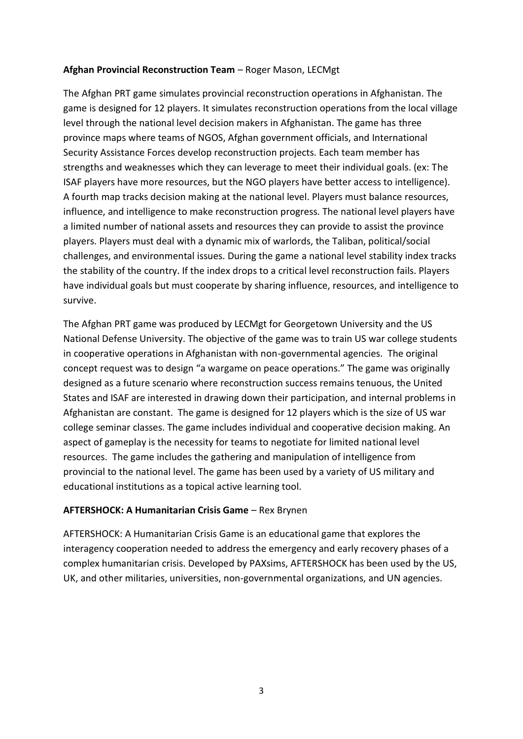## **Afghan Provincial Reconstruction Team** – Roger Mason, LECMgt

The Afghan PRT game simulates provincial reconstruction operations in Afghanistan. The game is designed for 12 players. It simulates reconstruction operations from the local village level through the national level decision makers in Afghanistan. The game has three province maps where teams of NGOS, Afghan government officials, and International Security Assistance Forces develop reconstruction projects. Each team member has strengths and weaknesses which they can leverage to meet their individual goals. (ex: The ISAF players have more resources, but the NGO players have better access to intelligence). A fourth map tracks decision making at the national level. Players must balance resources, influence, and intelligence to make reconstruction progress. The national level players have a limited number of national assets and resources they can provide to assist the province players. Players must deal with a dynamic mix of warlords, the Taliban, political/social challenges, and environmental issues. During the game a national level stability index tracks the stability of the country. If the index drops to a critical level reconstruction fails. Players have individual goals but must cooperate by sharing influence, resources, and intelligence to survive.

The Afghan PRT game was produced by LECMgt for Georgetown University and the US National Defense University. The objective of the game was to train US war college students in cooperative operations in Afghanistan with non-governmental agencies. The original concept request was to design "a wargame on peace operations." The game was originally designed as a future scenario where reconstruction success remains tenuous, the United States and ISAF are interested in drawing down their participation, and internal problems in Afghanistan are constant. The game is designed for 12 players which is the size of US war college seminar classes. The game includes individual and cooperative decision making. An aspect of gameplay is the necessity for teams to negotiate for limited national level resources. The game includes the gathering and manipulation of intelligence from provincial to the national level. The game has been used by a variety of US military and educational institutions as a topical active learning tool.

## **AFTERSHOCK: A Humanitarian Crisis Game** – Rex Brynen

AFTERSHOCK: A Humanitarian Crisis Game is an educational game that explores the interagency cooperation needed to address the emergency and early recovery phases of a complex humanitarian crisis. Developed by PAXsims, AFTERSHOCK has been used by the US, UK, and other militaries, universities, non-governmental organizations, and UN agencies.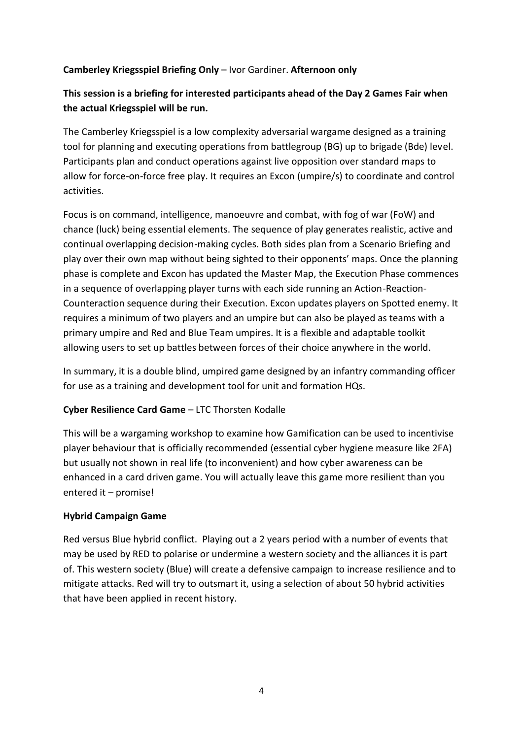## **Camberley Kriegsspiel Briefing Only** – Ivor Gardiner. **Afternoon only**

## **This session is a briefing for interested participants ahead of the Day 2 Games Fair when the actual Kriegsspiel will be run.**

The Camberley Kriegsspiel is a low complexity adversarial wargame designed as a training tool for planning and executing operations from battlegroup (BG) up to brigade (Bde) level. Participants plan and conduct operations against live opposition over standard maps to allow for force-on-force free play. It requires an Excon (umpire/s) to coordinate and control activities.

Focus is on command, intelligence, manoeuvre and combat, with fog of war (FoW) and chance (luck) being essential elements. The sequence of play generates realistic, active and continual overlapping decision-making cycles. Both sides plan from a Scenario Briefing and play over their own map without being sighted to their opponents' maps. Once the planning phase is complete and Excon has updated the Master Map, the Execution Phase commences in a sequence of overlapping player turns with each side running an Action-Reaction-Counteraction sequence during their Execution. Excon updates players on Spotted enemy. It requires a minimum of two players and an umpire but can also be played as teams with a primary umpire and Red and Blue Team umpires. It is a flexible and adaptable toolkit allowing users to set up battles between forces of their choice anywhere in the world.

In summary, it is a double blind, umpired game designed by an infantry commanding officer for use as a training and development tool for unit and formation HQs.

## **Cyber Resilience Card Game** – LTC Thorsten Kodalle

This will be a wargaming workshop to examine how Gamification can be used to incentivise player behaviour that is officially recommended (essential cyber hygiene measure like 2FA) but usually not shown in real life (to inconvenient) and how cyber awareness can be enhanced in a card driven game. You will actually leave this game more resilient than you entered it – promise!

## **Hybrid Campaign Game**

Red versus Blue hybrid conflict. Playing out a 2 years period with a number of events that may be used by RED to polarise or undermine a western society and the alliances it is part of. This western society (Blue) will create a defensive campaign to increase resilience and to mitigate attacks. Red will try to outsmart it, using a selection of about 50 hybrid activities that have been applied in recent history.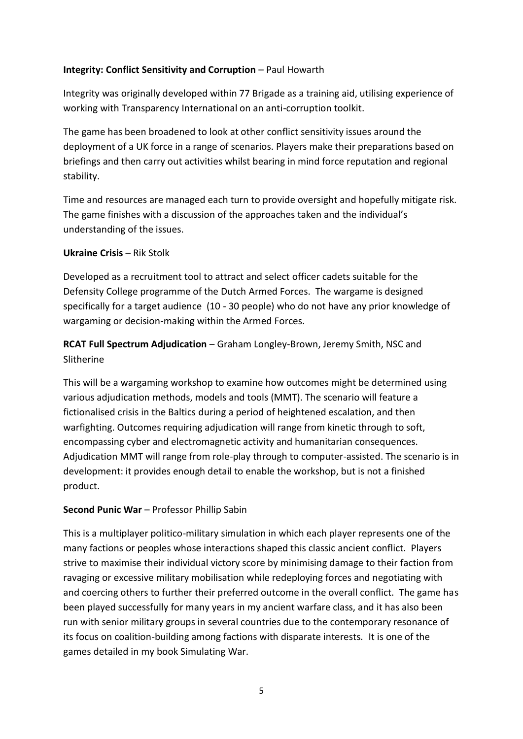## **Integrity: Conflict Sensitivity and Corruption** – Paul Howarth

Integrity was originally developed within 77 Brigade as a training aid, utilising experience of working with Transparency International on an anti-corruption toolkit.

The game has been broadened to look at other conflict sensitivity issues around the deployment of a UK force in a range of scenarios. Players make their preparations based on briefings and then carry out activities whilst bearing in mind force reputation and regional stability.

Time and resources are managed each turn to provide oversight and hopefully mitigate risk. The game finishes with a discussion of the approaches taken and the individual's understanding of the issues.

## **Ukraine Crisis – Rik Stolk**

Developed as a recruitment tool to attract and select officer cadets suitable for the Defensity College programme of the Dutch Armed Forces. The wargame is designed specifically for a target audience (10 - 30 people) who do not have any prior knowledge of wargaming or decision-making within the Armed Forces.

**RCAT Full Spectrum Adjudication** – Graham Longley-Brown, Jeremy Smith, NSC and Slitherine

This will be a wargaming workshop to examine how outcomes might be determined using various adjudication methods, models and tools (MMT). The scenario will feature a fictionalised crisis in the Baltics during a period of heightened escalation, and then warfighting. Outcomes requiring adjudication will range from kinetic through to soft, encompassing cyber and electromagnetic activity and humanitarian consequences. Adjudication MMT will range from role-play through to computer-assisted. The scenario is in development: it provides enough detail to enable the workshop, but is not a finished product.

## **Second Punic War** – Professor Phillip Sabin

This is a multiplayer politico-military simulation in which each player represents one of the many factions or peoples whose interactions shaped this classic ancient conflict. Players strive to maximise their individual victory score by minimising damage to their faction from ravaging or excessive military mobilisation while redeploying forces and negotiating with and coercing others to further their preferred outcome in the overall conflict. The game has been played successfully for many years in my ancient warfare class, and it has also been run with senior military groups in several countries due to the contemporary resonance of its focus on coalition-building among factions with disparate interests. It is one of the games detailed in my book Simulating War.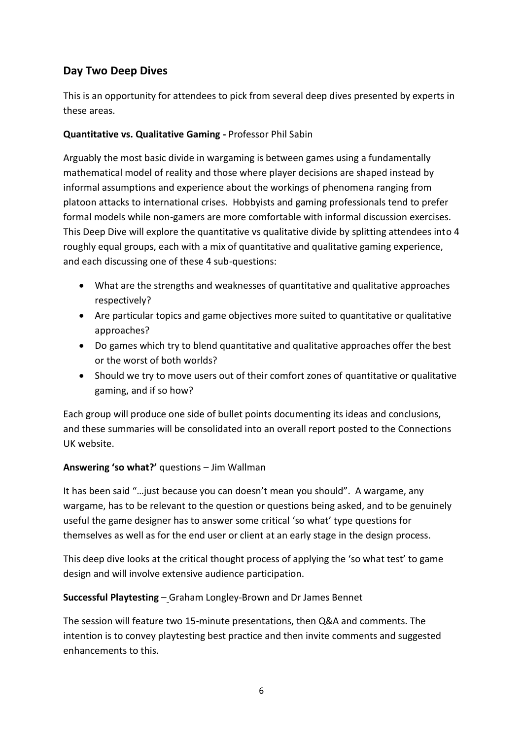# **Day Two Deep Dives**

This is an opportunity for attendees to pick from several deep dives presented by experts in these areas.

## **Quantitative vs. Qualitative Gaming -** Professor Phil Sabin

Arguably the most basic divide in wargaming is between games using a fundamentally mathematical model of reality and those where player decisions are shaped instead by informal assumptions and experience about the workings of phenomena ranging from platoon attacks to international crises. Hobbyists and gaming professionals tend to prefer formal models while non-gamers are more comfortable with informal discussion exercises. This Deep Dive will explore the quantitative vs qualitative divide by splitting attendees into 4 roughly equal groups, each with a mix of quantitative and qualitative gaming experience, and each discussing one of these 4 sub-questions:

- What are the strengths and weaknesses of quantitative and qualitative approaches respectively?
- Are particular topics and game objectives more suited to quantitative or qualitative approaches?
- Do games which try to blend quantitative and qualitative approaches offer the best or the worst of both worlds?
- Should we try to move users out of their comfort zones of quantitative or qualitative gaming, and if so how?

Each group will produce one side of bullet points documenting its ideas and conclusions, and these summaries will be consolidated into an overall report posted to the Connections UK website.

## **Answering 'so what?'** questions – Jim Wallman

It has been said "…just because you can doesn't mean you should". A wargame, any wargame, has to be relevant to the question or questions being asked, and to be genuinely useful the game designer has to answer some critical 'so what' type questions for themselves as well as for the end user or client at an early stage in the design process.

This deep dive looks at the critical thought process of applying the 'so what test' to game design and will involve extensive audience participation.

## **Successful Playtesting** – Graham Longley-Brown and Dr James Bennet

The session will feature two 15-minute presentations, then Q&A and comments. The intention is to convey playtesting best practice and then invite comments and suggested enhancements to this.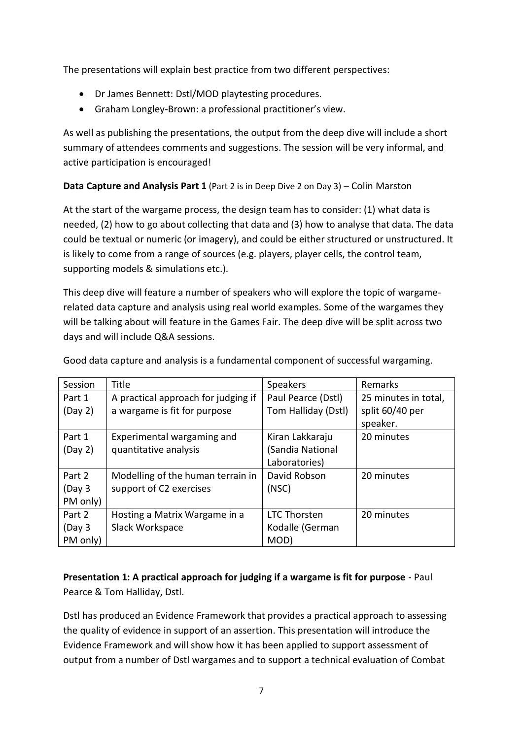The presentations will explain best practice from two different perspectives:

- Dr James Bennett: Dstl/MOD playtesting procedures.
- Graham Longley-Brown: a professional practitioner's view.

As well as publishing the presentations, the output from the deep dive will include a short summary of attendees comments and suggestions. The session will be very informal, and active participation is encouraged!

## **Data Capture and Analysis Part 1** (Part 2 is in Deep Dive 2 on Day 3) – Colin Marston

At the start of the wargame process, the design team has to consider: (1) what data is needed, (2) how to go about collecting that data and (3) how to analyse that data. The data could be textual or numeric (or imagery), and could be either structured or unstructured. It is likely to come from a range of sources (e.g. players, player cells, the control team, supporting models & simulations etc.).

This deep dive will feature a number of speakers who will explore the topic of wargamerelated data capture and analysis using real world examples. Some of the wargames they will be talking about will feature in the Games Fair. The deep dive will be split across two days and will include Q&A sessions.

| Session  | Title                               | Speakers            | Remarks              |
|----------|-------------------------------------|---------------------|----------------------|
| Part 1   | A practical approach for judging if | Paul Pearce (Dstl)  | 25 minutes in total, |
| (Day 2)  | a wargame is fit for purpose        | Tom Halliday (Dstl) | split 60/40 per      |
|          |                                     |                     | speaker.             |
| Part 1   | Experimental wargaming and          | Kiran Lakkaraju     | 20 minutes           |
| (Day 2)  | quantitative analysis               | Sandia National     |                      |
|          |                                     | Laboratories)       |                      |
| Part 2   | Modelling of the human terrain in   | David Robson        | 20 minutes           |
| (Day 3   | support of C2 exercises             | (NSC)               |                      |
| PM only) |                                     |                     |                      |
| Part 2   | Hosting a Matrix Wargame in a       | <b>LTC Thorsten</b> | 20 minutes           |
| (Day 3   | Slack Workspace                     | Kodalle (German     |                      |
| PM only) |                                     | MOD)                |                      |

Good data capture and analysis is a fundamental component of successful wargaming.

## **Presentation 1: A practical approach for judging if a wargame is fit for purpose** - Paul Pearce & Tom Halliday, Dstl.

Dstl has produced an Evidence Framework that provides a practical approach to assessing the quality of evidence in support of an assertion. This presentation will introduce the Evidence Framework and will show how it has been applied to support assessment of output from a number of Dstl wargames and to support a technical evaluation of Combat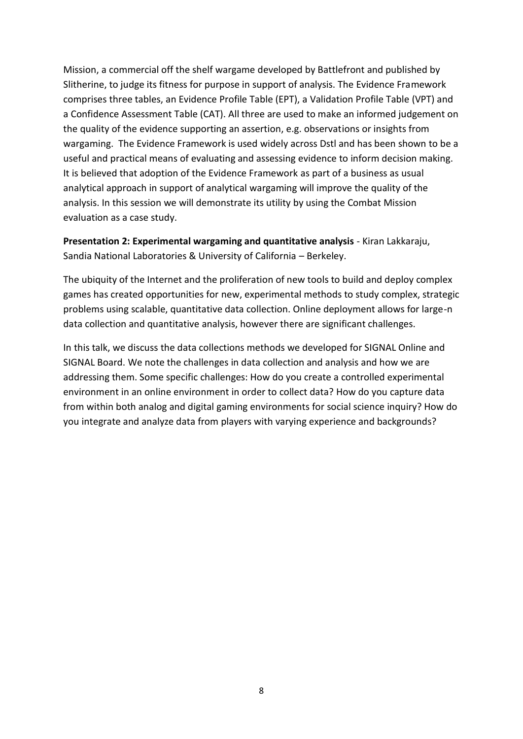Mission, a commercial off the shelf wargame developed by Battlefront and published by Slitherine, to judge its fitness for purpose in support of analysis. The Evidence Framework comprises three tables, an Evidence Profile Table (EPT), a Validation Profile Table (VPT) and a Confidence Assessment Table (CAT). All three are used to make an informed judgement on the quality of the evidence supporting an assertion, e.g. observations or insights from wargaming. The Evidence Framework is used widely across Dstl and has been shown to be a useful and practical means of evaluating and assessing evidence to inform decision making. It is believed that adoption of the Evidence Framework as part of a business as usual analytical approach in support of analytical wargaming will improve the quality of the analysis. In this session we will demonstrate its utility by using the Combat Mission evaluation as a case study.

**Presentation 2: Experimental wargaming and quantitative analysis** - Kiran Lakkaraju, Sandia National Laboratories & University of California – Berkeley.

The ubiquity of the Internet and the proliferation of new tools to build and deploy complex games has created opportunities for new, experimental methods to study complex, strategic problems using scalable, quantitative data collection. Online deployment allows for large-n data collection and quantitative analysis, however there are significant challenges.

In this talk, we discuss the data collections methods we developed for SIGNAL Online and SIGNAL Board. We note the challenges in data collection and analysis and how we are addressing them. Some specific challenges: How do you create a controlled experimental environment in an online environment in order to collect data? How do you capture data from within both analog and digital gaming environments for social science inquiry? How do you integrate and analyze data from players with varying experience and backgrounds?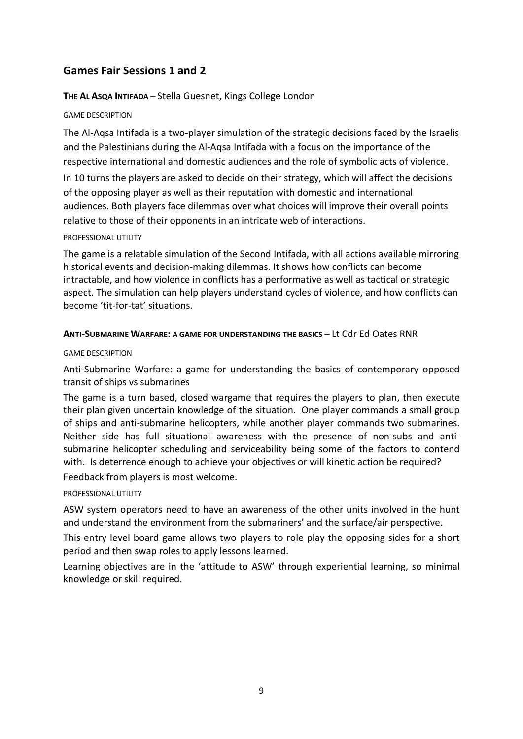## **Games Fair Sessions 1 and 2**

#### **THE AL ASQA INTIFADA** – Stella Guesnet, Kings College London

#### GAME DESCRIPTION

The Al-Aqsa Intifada is a two-player simulation of the strategic decisions faced by the Israelis and the Palestinians during the Al-Aqsa Intifada with a focus on the importance of the respective international and domestic audiences and the role of symbolic acts of violence.

In 10 turns the players are asked to decide on their strategy, which will affect the decisions of the opposing player as well as their reputation with domestic and international audiences. Both players face dilemmas over what choices will improve their overall points relative to those of their opponents in an intricate web of interactions.

#### PROFESSIONAL UTILITY

The game is a relatable simulation of the Second Intifada, with all actions available mirroring historical events and decision-making dilemmas. It shows how conflicts can become intractable, and how violence in conflicts has a performative as well as tactical or strategic aspect. The simulation can help players understand cycles of violence, and how conflicts can become 'tit-for-tat' situations.

#### **ANTI-SUBMARINE WARFARE: A GAME FOR UNDERSTANDING THE BASICS** – Lt Cdr Ed Oates RNR

#### GAME DESCRIPTION

Anti-Submarine Warfare: a game for understanding the basics of contemporary opposed transit of ships vs submarines

The game is a turn based, closed wargame that requires the players to plan, then execute their plan given uncertain knowledge of the situation. One player commands a small group of ships and anti-submarine helicopters, while another player commands two submarines. Neither side has full situational awareness with the presence of non-subs and antisubmarine helicopter scheduling and serviceability being some of the factors to contend with. Is deterrence enough to achieve your objectives or will kinetic action be required? Feedback from players is most welcome.

#### PROFESSIONAL UTILITY

ASW system operators need to have an awareness of the other units involved in the hunt and understand the environment from the submariners' and the surface/air perspective.

This entry level board game allows two players to role play the opposing sides for a short period and then swap roles to apply lessons learned.

Learning objectives are in the 'attitude to ASW' through experiential learning, so minimal knowledge or skill required.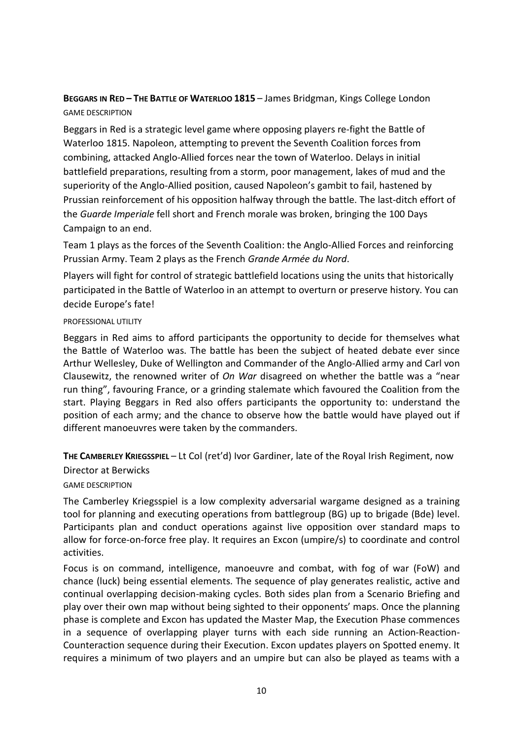## **BEGGARS IN RED – THE BATTLE OF WATERLOO 1815** – James Bridgman, Kings College London GAME DESCRIPTION

Beggars in Red is a strategic level game where opposing players re-fight the Battle of Waterloo 1815. Napoleon, attempting to prevent the Seventh Coalition forces from combining, attacked Anglo-Allied forces near the town of Waterloo. Delays in initial battlefield preparations, resulting from a storm, poor management, lakes of mud and the superiority of the Anglo-Allied position, caused Napoleon's gambit to fail, hastened by Prussian reinforcement of his opposition halfway through the battle. The last-ditch effort of the *Guarde Imperiale* fell short and French morale was broken, bringing the 100 Days Campaign to an end.

Team 1 plays as the forces of the Seventh Coalition: the Anglo-Allied Forces and reinforcing Prussian Army. Team 2 plays as the French *Grande Armée du Nord*.

Players will fight for control of strategic battlefield locations using the units that historically participated in the Battle of Waterloo in an attempt to overturn or preserve history. You can decide Europe's fate!

#### PROFESSIONAL UTILITY

Beggars in Red aims to afford participants the opportunity to decide for themselves what the Battle of Waterloo was. The battle has been the subject of heated debate ever since Arthur Wellesley, Duke of Wellington and Commander of the Anglo-Allied army and Carl von Clausewitz, the renowned writer of *On War* disagreed on whether the battle was a "near run thing", favouring France, or a grinding stalemate which favoured the Coalition from the start. Playing Beggars in Red also offers participants the opportunity to: understand the position of each army; and the chance to observe how the battle would have played out if different manoeuvres were taken by the commanders.

**THE CAMBERLEY KRIEGSSPIEL** – Lt Col (ret'd) Ivor Gardiner, late of the Royal Irish Regiment, now

Director at Berwicks

GAME DESCRIPTION

The Camberley Kriegsspiel is a low complexity adversarial wargame designed as a training tool for planning and executing operations from battlegroup (BG) up to brigade (Bde) level. Participants plan and conduct operations against live opposition over standard maps to allow for force-on-force free play. It requires an Excon (umpire/s) to coordinate and control activities.

Focus is on command, intelligence, manoeuvre and combat, with fog of war (FoW) and chance (luck) being essential elements. The sequence of play generates realistic, active and continual overlapping decision-making cycles. Both sides plan from a Scenario Briefing and play over their own map without being sighted to their opponents' maps. Once the planning phase is complete and Excon has updated the Master Map, the Execution Phase commences in a sequence of overlapping player turns with each side running an Action-Reaction-Counteraction sequence during their Execution. Excon updates players on Spotted enemy. It requires a minimum of two players and an umpire but can also be played as teams with a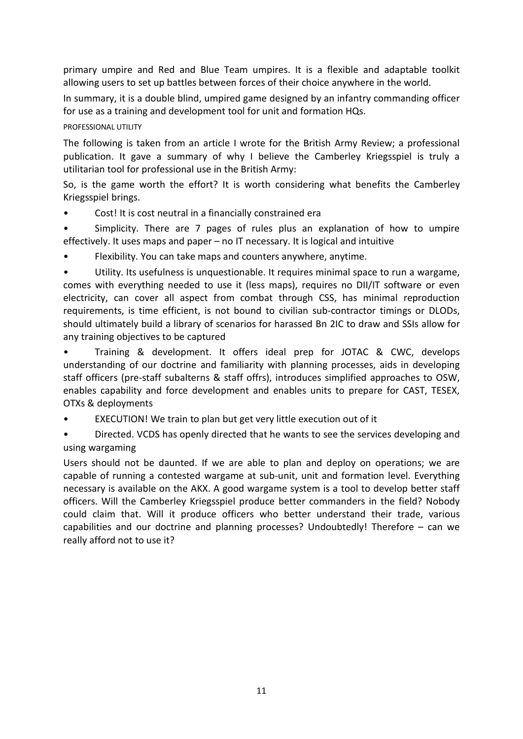primary umpire and Red and Blue Team umpires. It is a flexible and adaptable toolkit allowing users to set up battles between forces of their choice anywhere in the world.

In summary, it is a double blind, umpired game designed by an infantry commanding officer for use as a training and development tool for unit and formation HQs.

## PROFESSIONAL UTILITY

The following is taken from an article I wrote for the British Army Review; a professional publication. It gave a summary of why I believe the Camberley Kriegsspiel is truly a utilitarian tool for professional use in the British Army:

So, is the game worth the effort? It is worth considering what benefits the Camberley Kriegsspiel brings.

- Cost! It is cost neutral in a financially constrained era
- Simplicity. There are 7 pages of rules plus an explanation of how to umpire effectively. It uses maps and paper – no IT necessary. It is logical and intuitive
- Flexibility. You can take maps and counters anywhere, anytime.

• Utility. Its usefulness is unquestionable. It requires minimal space to run a wargame, comes with everything needed to use it (less maps), requires no DII/IT software or even electricity, can cover all aspect from combat through CSS, has minimal reproduction requirements, is time efficient, is not bound to civilian sub-contractor timings or DLODs, should ultimately build a library of scenarios for harassed Bn 2IC to draw and SSIs allow for any training objectives to be captured

• Training & development. It offers ideal prep for JOTAC & CWC, develops understanding of our doctrine and familiarity with planning processes, aids in developing staff officers (pre-staff subalterns & staff offrs), introduces simplified approaches to OSW, enables capability and force development and enables units to prepare for CAST, TESEX, OTXs & deployments

EXECUTION! We train to plan but get very little execution out of it

• Directed. VCDS has openly directed that he wants to see the services developing and using wargaming

Users should not be daunted. If we are able to plan and deploy on operations; we are capable of running a contested wargame at sub-unit, unit and formation level. Everything necessary is available on the AKX. A good wargame system is a tool to develop better staff officers. Will the Camberley Kriegsspiel produce better commanders in the field? Nobody could claim that. Will it produce officers who better understand their trade, various capabilities and our doctrine and planning processes? Undoubtedly! Therefore – can we really afford not to use it?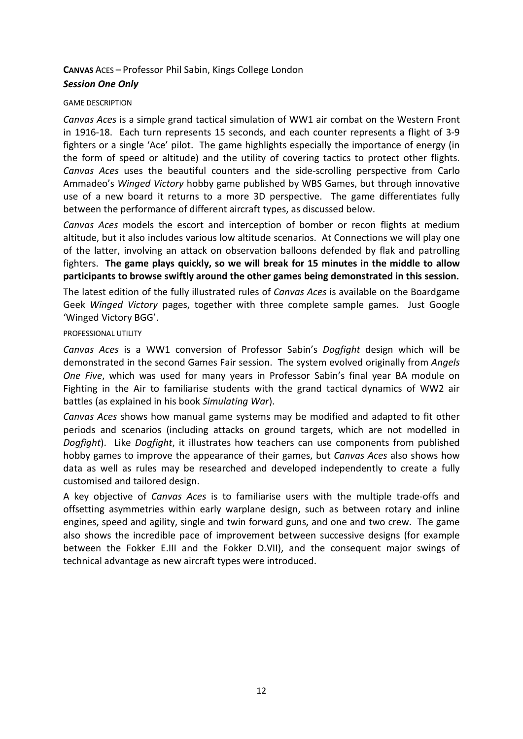## **CANVAS** ACES – Professor Phil Sabin, Kings College London

## *Session One Only*

#### GAME DESCRIPTION

*Canvas Aces* is a simple grand tactical simulation of WW1 air combat on the Western Front in 1916-18. Each turn represents 15 seconds, and each counter represents a flight of 3-9 fighters or a single 'Ace' pilot. The game highlights especially the importance of energy (in the form of speed or altitude) and the utility of covering tactics to protect other flights. *Canvas Aces* uses the beautiful counters and the side-scrolling perspective from Carlo Ammadeo's *Winged Victory* hobby game published by WBS Games, but through innovative use of a new board it returns to a more 3D perspective. The game differentiates fully between the performance of different aircraft types, as discussed below.

*Canvas Aces* models the escort and interception of bomber or recon flights at medium altitude, but it also includes various low altitude scenarios. At Connections we will play one of the latter, involving an attack on observation balloons defended by flak and patrolling fighters. **The game plays quickly, so we will break for 15 minutes in the middle to allow participants to browse swiftly around the other games being demonstrated in this session.**

The latest edition of the fully illustrated rules of *Canvas Aces* is available on the Boardgame Geek *Winged Victory* pages, together with three complete sample games. Just Google 'Winged Victory BGG'.

#### PROFESSIONAL UTILITY

*Canvas Aces* is a WW1 conversion of Professor Sabin's *Dogfight* design which will be demonstrated in the second Games Fair session. The system evolved originally from *Angels One Five*, which was used for many years in Professor Sabin's final year BA module on Fighting in the Air to familiarise students with the grand tactical dynamics of WW2 air battles (as explained in his book *Simulating War*).

*Canvas Aces* shows how manual game systems may be modified and adapted to fit other periods and scenarios (including attacks on ground targets, which are not modelled in *Dogfight*). Like *Dogfight*, it illustrates how teachers can use components from published hobby games to improve the appearance of their games, but *Canvas Aces* also shows how data as well as rules may be researched and developed independently to create a fully customised and tailored design.

A key objective of *Canvas Aces* is to familiarise users with the multiple trade-offs and offsetting asymmetries within early warplane design, such as between rotary and inline engines, speed and agility, single and twin forward guns, and one and two crew. The game also shows the incredible pace of improvement between successive designs (for example between the Fokker E.III and the Fokker D.VII), and the consequent major swings of technical advantage as new aircraft types were introduced.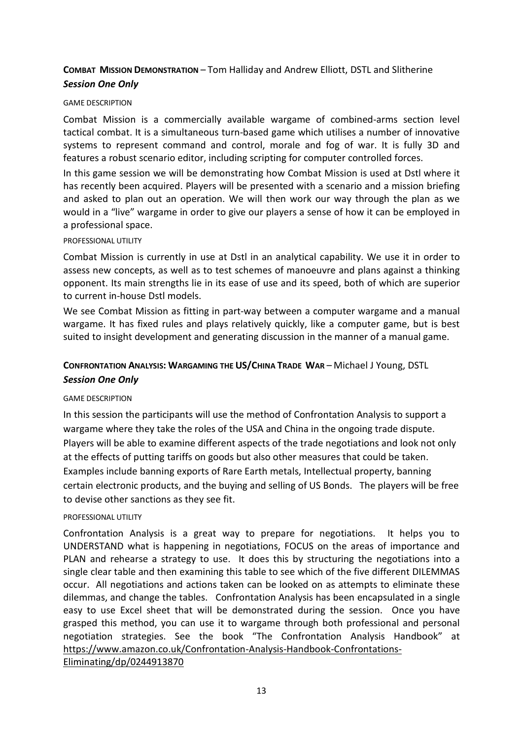## **COMBAT MISSION DEMONSTRATION** – Tom Halliday and Andrew Elliott, DSTL and Slitherine *Session One Only*

#### GAME DESCRIPTION

Combat Mission is a commercially available wargame of combined-arms section level tactical combat. It is a simultaneous turn-based game which utilises a number of innovative systems to represent command and control, morale and fog of war. It is fully 3D and features a robust scenario editor, including scripting for computer controlled forces.

In this game session we will be demonstrating how Combat Mission is used at Dstl where it has recently been acquired. Players will be presented with a scenario and a mission briefing and asked to plan out an operation. We will then work our way through the plan as we would in a "live" wargame in order to give our players a sense of how it can be employed in a professional space.

#### PROFESSIONAL UTILITY

Combat Mission is currently in use at Dstl in an analytical capability. We use it in order to assess new concepts, as well as to test schemes of manoeuvre and plans against a thinking opponent. Its main strengths lie in its ease of use and its speed, both of which are superior to current in-house Dstl models.

We see Combat Mission as fitting in part-way between a computer wargame and a manual wargame. It has fixed rules and plays relatively quickly, like a computer game, but is best suited to insight development and generating discussion in the manner of a manual game.

## **CONFRONTATION ANALYSIS: WARGAMING THE US/CHINA TRADE WAR** – Michael J Young, DSTL *Session One Only*

#### GAME DESCRIPTION

In this session the participants will use the method of Confrontation Analysis to support a wargame where they take the roles of the USA and China in the ongoing trade dispute. Players will be able to examine different aspects of the trade negotiations and look not only at the effects of putting tariffs on goods but also other measures that could be taken. Examples include banning exports of Rare Earth metals, Intellectual property, banning certain electronic products, and the buying and selling of US Bonds. The players will be free to devise other sanctions as they see fit.

#### PROFESSIONAL UTILITY

Confrontation Analysis is a great way to prepare for negotiations. It helps you to UNDERSTAND what is happening in negotiations, FOCUS on the areas of importance and PLAN and rehearse a strategy to use. It does this by structuring the negotiations into a single clear table and then examining this table to see which of the five different DILEMMAS occur. All negotiations and actions taken can be looked on as attempts to eliminate these dilemmas, and change the tables. Confrontation Analysis has been encapsulated in a single easy to use Excel sheet that will be demonstrated during the session. Once you have grasped this method, you can use it to wargame through both professional and personal negotiation strategies. See the book "The Confrontation Analysis Handbook" at [https://www.amazon.co.uk/Confrontation-Analysis-Handbook-Confrontations-](https://www.amazon.co.uk/Confrontation-Analysis-Handbook-Confrontations-Eliminating/dp/0244913870)

[Eliminating/dp/0244913870](https://www.amazon.co.uk/Confrontation-Analysis-Handbook-Confrontations-Eliminating/dp/0244913870)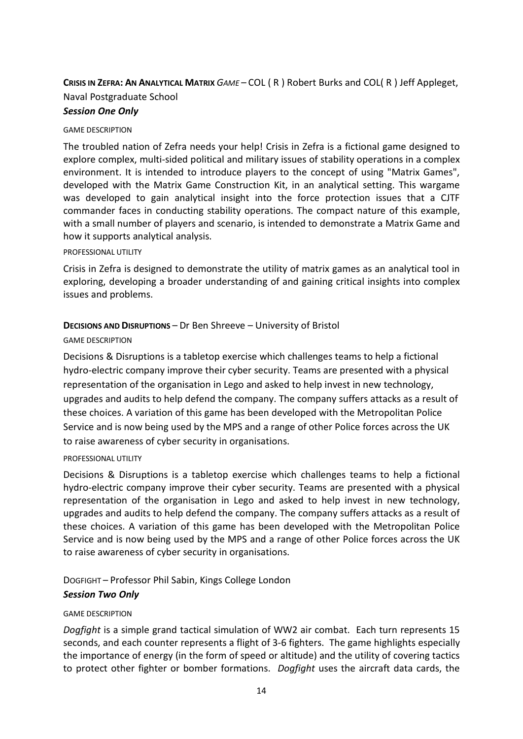## **CRISIS IN ZEFRA: AN ANALYTICAL MATRIX** *GAME –* COL ( R ) Robert Burks and COL( R ) Jeff Appleget, Naval Postgraduate School

## *Session One Only*

#### GAME DESCRIPTION

The troubled nation of Zefra needs your help! Crisis in Zefra is a fictional game designed to explore complex, multi-sided political and military issues of stability operations in a complex environment. It is intended to introduce players to the concept of using "Matrix Games", developed with the Matrix Game Construction Kit, in an analytical setting. This wargame was developed to gain analytical insight into the force protection issues that a CJTF commander faces in conducting stability operations. The compact nature of this example, with a small number of players and scenario, is intended to demonstrate a Matrix Game and how it supports analytical analysis.

#### PROFESSIONAL UTILITY

Crisis in Zefra is designed to demonstrate the utility of matrix games as an analytical tool in exploring, developing a broader understanding of and gaining critical insights into complex issues and problems.

### **DECISIONS AND DISRUPTIONS** – Dr Ben Shreeve – University of Bristol

#### GAME DESCRIPTION

Decisions & Disruptions is a tabletop exercise which challenges teams to help a fictional hydro-electric company improve their cyber security. Teams are presented with a physical representation of the organisation in Lego and asked to help invest in new technology, upgrades and audits to help defend the company. The company suffers attacks as a result of these choices. A variation of this game has been developed with the Metropolitan Police Service and is now being used by the MPS and a range of other Police forces across the UK to raise awareness of cyber security in organisations.

#### PROFESSIONAL UTILITY

Decisions & Disruptions is a tabletop exercise which challenges teams to help a fictional hydro-electric company improve their cyber security. Teams are presented with a physical representation of the organisation in Lego and asked to help invest in new technology, upgrades and audits to help defend the company. The company suffers attacks as a result of these choices. A variation of this game has been developed with the Metropolitan Police Service and is now being used by the MPS and a range of other Police forces across the UK to raise awareness of cyber security in organisations.

## DOGFIGHT – Professor Phil Sabin, Kings College London *Session Two Only*

#### GAME DESCRIPTION

*Dogfight* is a simple grand tactical simulation of WW2 air combat. Each turn represents 15 seconds, and each counter represents a flight of 3-6 fighters. The game highlights especially the importance of energy (in the form of speed or altitude) and the utility of covering tactics to protect other fighter or bomber formations. *Dogfight* uses the aircraft data cards, the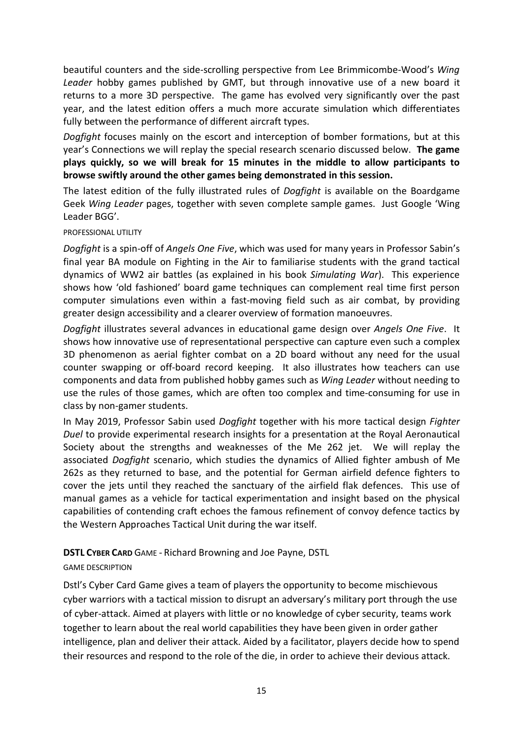beautiful counters and the side-scrolling perspective from Lee Brimmicombe-Wood's *Wing Leader* hobby games published by GMT, but through innovative use of a new board it returns to a more 3D perspective. The game has evolved very significantly over the past year, and the latest edition offers a much more accurate simulation which differentiates fully between the performance of different aircraft types.

*Dogfight* focuses mainly on the escort and interception of bomber formations, but at this year's Connections we will replay the special research scenario discussed below. **The game plays quickly, so we will break for 15 minutes in the middle to allow participants to browse swiftly around the other games being demonstrated in this session.**

The latest edition of the fully illustrated rules of *Dogfight* is available on the Boardgame Geek *Wing Leader* pages, together with seven complete sample games. Just Google 'Wing Leader BGG'.

#### PROFESSIONAL UTILITY

*Dogfight* is a spin-off of *Angels One Five*, which was used for many years in Professor Sabin's final year BA module on Fighting in the Air to familiarise students with the grand tactical dynamics of WW2 air battles (as explained in his book *Simulating War*). This experience shows how 'old fashioned' board game techniques can complement real time first person computer simulations even within a fast-moving field such as air combat, by providing greater design accessibility and a clearer overview of formation manoeuvres.

*Dogfight* illustrates several advances in educational game design over *Angels One Five*. It shows how innovative use of representational perspective can capture even such a complex 3D phenomenon as aerial fighter combat on a 2D board without any need for the usual counter swapping or off-board record keeping. It also illustrates how teachers can use components and data from published hobby games such as *Wing Leader* without needing to use the rules of those games, which are often too complex and time-consuming for use in class by non-gamer students.

In May 2019, Professor Sabin used *Dogfight* together with his more tactical design *Fighter Duel* to provide experimental research insights for a presentation at the Royal Aeronautical Society about the strengths and weaknesses of the Me 262 jet. We will replay the associated *Dogfight* scenario, which studies the dynamics of Allied fighter ambush of Me 262s as they returned to base, and the potential for German airfield defence fighters to cover the jets until they reached the sanctuary of the airfield flak defences. This use of manual games as a vehicle for tactical experimentation and insight based on the physical capabilities of contending craft echoes the famous refinement of convoy defence tactics by the Western Approaches Tactical Unit during the war itself.

## **DSTL CYBER CARD** GAME - Richard Browning and Joe Payne, DSTL

#### GAME DESCRIPTION

Dstl's Cyber Card Game gives a team of players the opportunity to become mischievous cyber warriors with a tactical mission to disrupt an adversary's military port through the use of cyber-attack. Aimed at players with little or no knowledge of cyber security, teams work together to learn about the real world capabilities they have been given in order gather intelligence, plan and deliver their attack. Aided by a facilitator, players decide how to spend their resources and respond to the role of the die, in order to achieve their devious attack.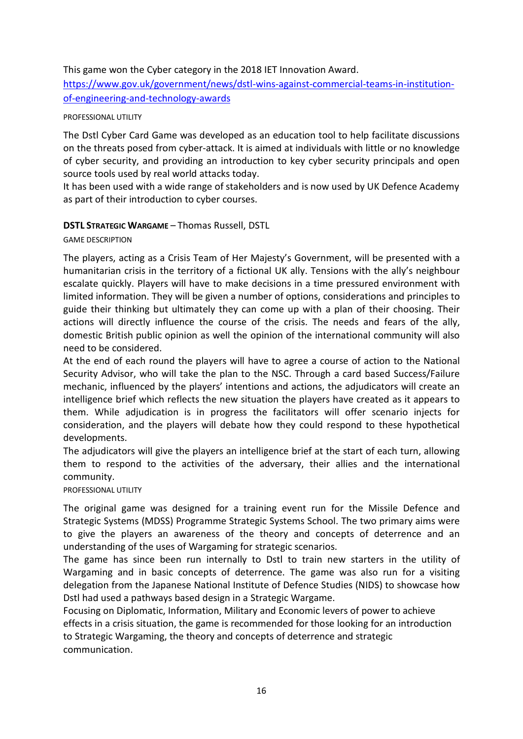## This game won the Cyber category in the 2018 IET Innovation Award.

[https://www.gov.uk/government/news/dstl-wins-against-commercial-teams-in-institution](https://www.gov.uk/government/news/dstl-wins-against-commercial-teams-in-institution-of-engineering-and-technology-awards)[of-engineering-and-technology-awards](https://www.gov.uk/government/news/dstl-wins-against-commercial-teams-in-institution-of-engineering-and-technology-awards)

#### PROFESSIONAL UTILITY

The Dstl Cyber Card Game was developed as an education tool to help facilitate discussions on the threats posed from cyber-attack. It is aimed at individuals with little or no knowledge of cyber security, and providing an introduction to key cyber security principals and open source tools used by real world attacks today.

It has been used with a wide range of stakeholders and is now used by UK Defence Academy as part of their introduction to cyber courses.

### **DSTL STRATEGIC WARGAME** – Thomas Russell, DSTL

#### GAME DESCRIPTION

The players, acting as a Crisis Team of Her Majesty's Government, will be presented with a humanitarian crisis in the territory of a fictional UK ally. Tensions with the ally's neighbour escalate quickly. Players will have to make decisions in a time pressured environment with limited information. They will be given a number of options, considerations and principles to guide their thinking but ultimately they can come up with a plan of their choosing. Their actions will directly influence the course of the crisis. The needs and fears of the ally, domestic British public opinion as well the opinion of the international community will also need to be considered.

At the end of each round the players will have to agree a course of action to the National Security Advisor, who will take the plan to the NSC. Through a card based Success/Failure mechanic, influenced by the players' intentions and actions, the adjudicators will create an intelligence brief which reflects the new situation the players have created as it appears to them. While adjudication is in progress the facilitators will offer scenario injects for consideration, and the players will debate how they could respond to these hypothetical developments.

The adjudicators will give the players an intelligence brief at the start of each turn, allowing them to respond to the activities of the adversary, their allies and the international community.

#### PROFESSIONAL UTILITY

The original game was designed for a training event run for the Missile Defence and Strategic Systems (MDSS) Programme Strategic Systems School. The two primary aims were to give the players an awareness of the theory and concepts of deterrence and an understanding of the uses of Wargaming for strategic scenarios.

The game has since been run internally to Dstl to train new starters in the utility of Wargaming and in basic concepts of deterrence. The game was also run for a visiting delegation from the Japanese National Institute of Defence Studies (NIDS) to showcase how Dstl had used a pathways based design in a Strategic Wargame.

Focusing on Diplomatic, Information, Military and Economic levers of power to achieve effects in a crisis situation, the game is recommended for those looking for an introduction to Strategic Wargaming, the theory and concepts of deterrence and strategic communication.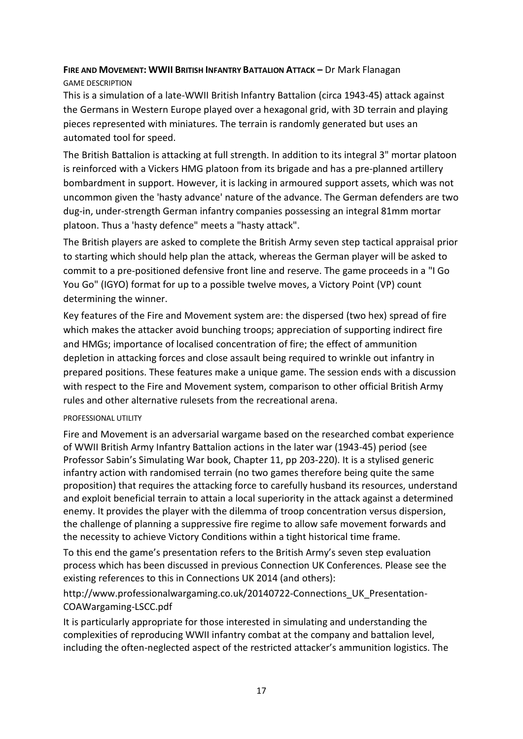## **FIRE AND MOVEMENT: WWII BRITISH INFANTRY BATTALION ATTACK –** Dr Mark Flanagan GAME DESCRIPTION

This is a simulation of a late-WWII British Infantry Battalion (circa 1943-45) attack against the Germans in Western Europe played over a hexagonal grid, with 3D terrain and playing pieces represented with miniatures. The terrain is randomly generated but uses an automated tool for speed.

The British Battalion is attacking at full strength. In addition to its integral 3" mortar platoon is reinforced with a Vickers HMG platoon from its brigade and has a pre-planned artillery bombardment in support. However, it is lacking in armoured support assets, which was not uncommon given the 'hasty advance' nature of the advance. The German defenders are two dug-in, under-strength German infantry companies possessing an integral 81mm mortar platoon. Thus a 'hasty defence" meets a "hasty attack".

The British players are asked to complete the British Army seven step tactical appraisal prior to starting which should help plan the attack, whereas the German player will be asked to commit to a pre-positioned defensive front line and reserve. The game proceeds in a "I Go You Go" (IGYO) format for up to a possible twelve moves, a Victory Point (VP) count determining the winner.

Key features of the Fire and Movement system are: the dispersed (two hex) spread of fire which makes the attacker avoid bunching troops; appreciation of supporting indirect fire and HMGs; importance of localised concentration of fire; the effect of ammunition depletion in attacking forces and close assault being required to wrinkle out infantry in prepared positions. These features make a unique game. The session ends with a discussion with respect to the Fire and Movement system, comparison to other official British Army rules and other alternative rulesets from the recreational arena.

## PROFESSIONAL UTILITY

Fire and Movement is an adversarial wargame based on the researched combat experience of WWII British Army Infantry Battalion actions in the later war (1943-45) period (see Professor Sabin's Simulating War book, Chapter 11, pp 203-220). It is a stylised generic infantry action with randomised terrain (no two games therefore being quite the same proposition) that requires the attacking force to carefully husband its resources, understand and exploit beneficial terrain to attain a local superiority in the attack against a determined enemy. It provides the player with the dilemma of troop concentration versus dispersion, the challenge of planning a suppressive fire regime to allow safe movement forwards and the necessity to achieve Victory Conditions within a tight historical time frame.

To this end the game's presentation refers to the British Army's seven step evaluation process which has been discussed in previous Connection UK Conferences. Please see the existing references to this in Connections UK 2014 (and others):

http://www.professionalwargaming.co.uk/20140722-Connections\_UK\_Presentation-COAWargaming-LSCC.pdf

It is particularly appropriate for those interested in simulating and understanding the complexities of reproducing WWII infantry combat at the company and battalion level, including the often-neglected aspect of the restricted attacker's ammunition logistics. The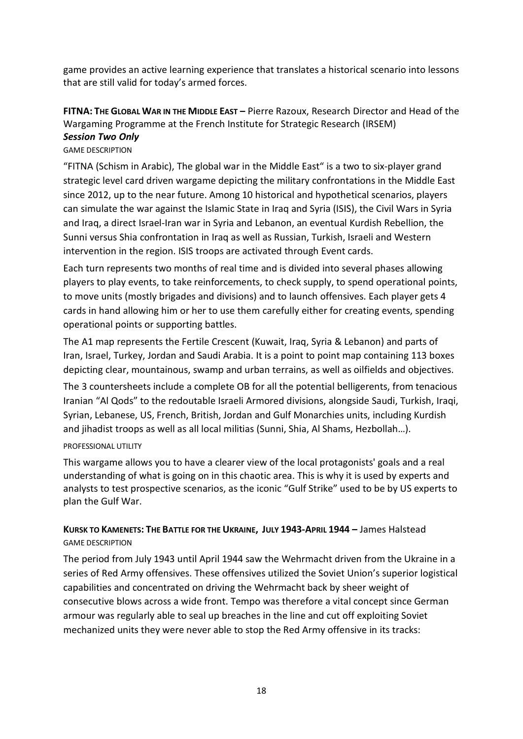game provides an active learning experience that translates a historical scenario into lessons that are still valid for today's armed forces.

# **FITNA: THE GLOBAL WAR IN THE MIDDLE EAST –** Pierre Razoux, Research Director and Head of the Wargaming Programme at the French Institute for Strategic Research (IRSEM)

#### *Session Two Only* GAME DESCRIPTION

"FITNA (Schism in Arabic), The global war in the Middle East" is a two to six-player grand strategic level card driven wargame depicting the military confrontations in the Middle East since 2012, up to the near future. Among 10 historical and hypothetical scenarios, players can simulate the war against the Islamic State in Iraq and Syria (ISIS), the Civil Wars in Syria and Iraq, a direct Israel-Iran war in Syria and Lebanon, an eventual Kurdish Rebellion, the Sunni versus Shia confrontation in Iraq as well as Russian, Turkish, Israeli and Western intervention in the region. ISIS troops are activated through Event cards.

Each turn represents two months of real time and is divided into several phases allowing players to play events, to take reinforcements, to check supply, to spend operational points, to move units (mostly brigades and divisions) and to launch offensives. Each player gets 4 cards in hand allowing him or her to use them carefully either for creating events, spending operational points or supporting battles.

The A1 map represents the Fertile Crescent (Kuwait, Iraq, Syria & Lebanon) and parts of Iran, Israel, Turkey, Jordan and Saudi Arabia. It is a point to point map containing 113 boxes depicting clear, mountainous, swamp and urban terrains, as well as oilfields and objectives.

The 3 countersheets include a complete OB for all the potential belligerents, from tenacious Iranian "Al Qods" to the redoutable Israeli Armored divisions, alongside Saudi, Turkish, Iraqi, Syrian, Lebanese, US, French, British, Jordan and Gulf Monarchies units, including Kurdish and jihadist troops as well as all local militias (Sunni, Shia, Al Shams, Hezbollah…).

#### PROFESSIONAL UTILITY

This wargame allows you to have a clearer view of the local protagonists' goals and a real understanding of what is going on in this chaotic area. This is why it is used by experts and analysts to test prospective scenarios, as the iconic "Gulf Strike" used to be by US experts to plan the Gulf War.

## KURSK TO KAMENETS: THE BATTLE FOR THE UKRAINE, JULY 1943-APRIL 1944 - James Halstead GAME DESCRIPTION

The period from July 1943 until April 1944 saw the Wehrmacht driven from the Ukraine in a series of Red Army offensives. These offensives utilized the Soviet Union's superior logistical capabilities and concentrated on driving the Wehrmacht back by sheer weight of consecutive blows across a wide front. Tempo was therefore a vital concept since German armour was regularly able to seal up breaches in the line and cut off exploiting Soviet mechanized units they were never able to stop the Red Army offensive in its tracks: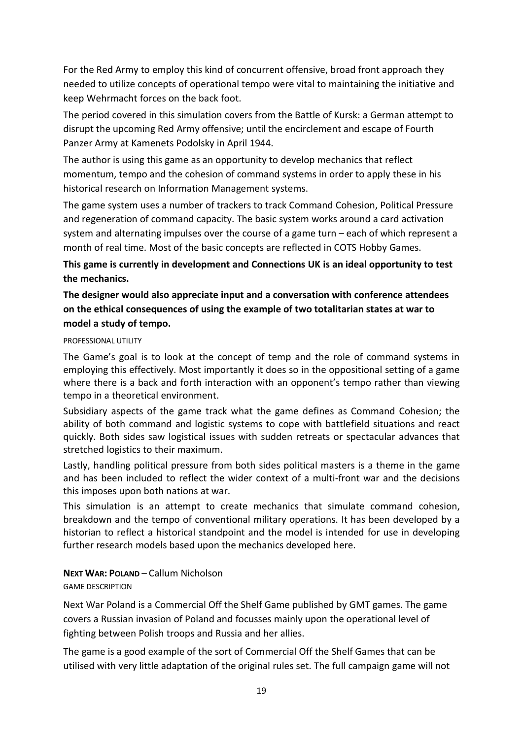For the Red Army to employ this kind of concurrent offensive, broad front approach they needed to utilize concepts of operational tempo were vital to maintaining the initiative and keep Wehrmacht forces on the back foot.

The period covered in this simulation covers from the Battle of Kursk: a German attempt to disrupt the upcoming Red Army offensive; until the encirclement and escape of Fourth Panzer Army at Kamenets Podolsky in April 1944.

The author is using this game as an opportunity to develop mechanics that reflect momentum, tempo and the cohesion of command systems in order to apply these in his historical research on Information Management systems.

The game system uses a number of trackers to track Command Cohesion, Political Pressure and regeneration of command capacity. The basic system works around a card activation system and alternating impulses over the course of a game turn – each of which represent a month of real time. Most of the basic concepts are reflected in COTS Hobby Games.

**This game is currently in development and Connections UK is an ideal opportunity to test the mechanics.**

## **The designer would also appreciate input and a conversation with conference attendees on the ethical consequences of using the example of two totalitarian states at war to model a study of tempo.**

#### PROFESSIONAL UTILITY

The Game's goal is to look at the concept of temp and the role of command systems in employing this effectively. Most importantly it does so in the oppositional setting of a game where there is a back and forth interaction with an opponent's tempo rather than viewing tempo in a theoretical environment.

Subsidiary aspects of the game track what the game defines as Command Cohesion; the ability of both command and logistic systems to cope with battlefield situations and react quickly. Both sides saw logistical issues with sudden retreats or spectacular advances that stretched logistics to their maximum.

Lastly, handling political pressure from both sides political masters is a theme in the game and has been included to reflect the wider context of a multi-front war and the decisions this imposes upon both nations at war.

This simulation is an attempt to create mechanics that simulate command cohesion, breakdown and the tempo of conventional military operations. It has been developed by a historian to reflect a historical standpoint and the model is intended for use in developing further research models based upon the mechanics developed here.

**NEXT WAR: POLAND** – Callum Nicholson GAME DESCRIPTION

Next War Poland is a Commercial Off the Shelf Game published by GMT games. The game covers a Russian invasion of Poland and focusses mainly upon the operational level of fighting between Polish troops and Russia and her allies.

The game is a good example of the sort of Commercial Off the Shelf Games that can be utilised with very little adaptation of the original rules set. The full campaign game will not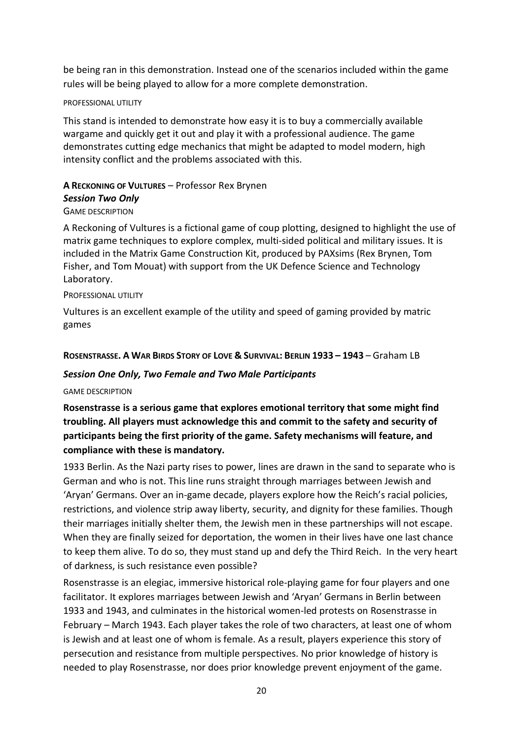be being ran in this demonstration. Instead one of the scenarios included within the game rules will be being played to allow for a more complete demonstration.

#### PROFESSIONAL UTILITY

This stand is intended to demonstrate how easy it is to buy a commercially available wargame and quickly get it out and play it with a professional audience. The game demonstrates cutting edge mechanics that might be adapted to model modern, high intensity conflict and the problems associated with this.

# **A RECKONING OF VULTURES** – Professor Rex Brynen *Session Two Only*

#### GAME DESCRIPTION

A Reckoning of Vultures is a fictional game of coup plotting, designed to highlight the use of matrix game techniques to explore complex, multi-sided political and military issues. It is included in the Matrix Game Construction Kit, produced by PAXsims (Rex Brynen, Tom Fisher, and Tom Mouat) with support from the UK Defence Science and Technology Laboratory.

#### PROFESSIONAL UTILITY

Vultures is an excellent example of the utility and speed of gaming provided by matric games

#### ROSENSTRASSE, A WAR BIRDS STORY OF LOVE & SURVIVAL: BERLIN 1933 - 1943 - Graham LB

#### *Session One Only, Two Female and Two Male Participants*

#### GAME DESCRIPTION

## **Rosenstrasse is a serious game that explores emotional territory that some might find troubling. All players must acknowledge this and commit to the safety and security of participants being the first priority of the game. Safety mechanisms will feature, and compliance with these is mandatory.**

1933 Berlin. As the Nazi party rises to power, lines are drawn in the sand to separate who is German and who is not. This line runs straight through marriages between Jewish and 'Aryan' Germans. Over an in-game decade, players explore how the Reich's racial policies, restrictions, and violence strip away liberty, security, and dignity for these families. Though their marriages initially shelter them, the Jewish men in these partnerships will not escape. When they are finally seized for deportation, the women in their lives have one last chance to keep them alive. To do so, they must stand up and defy the Third Reich. In the very heart of darkness, is such resistance even possible?

Rosenstrasse is an elegiac, immersive historical role-playing game for four players and one facilitator. It explores marriages between Jewish and 'Aryan' Germans in Berlin between 1933 and 1943, and culminates in the historical women-led protests on Rosenstrasse in February – March 1943. Each player takes the role of two characters, at least one of whom is Jewish and at least one of whom is female. As a result, players experience this story of persecution and resistance from multiple perspectives. No prior knowledge of history is needed to play Rosenstrasse, nor does prior knowledge prevent enjoyment of the game.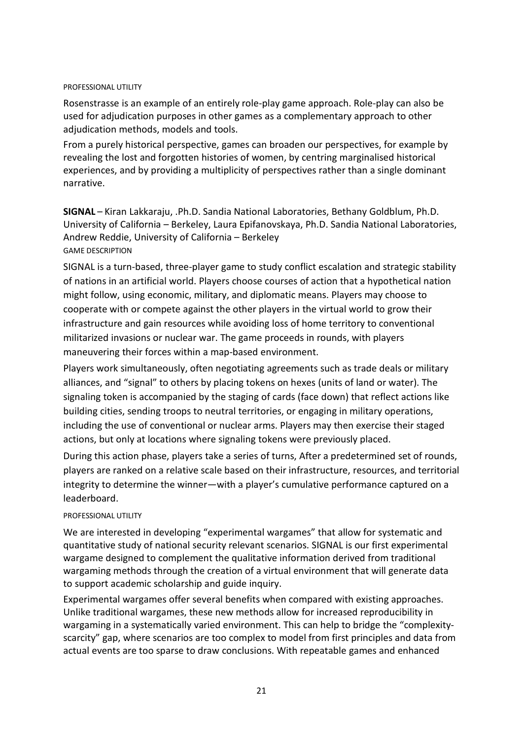#### PROFESSIONAL UTILITY

Rosenstrasse is an example of an entirely role-play game approach. Role-play can also be used for adjudication purposes in other games as a complementary approach to other adjudication methods, models and tools.

From a purely historical perspective, games can broaden our perspectives, for example by revealing the lost and forgotten histories of women, by centring marginalised historical experiences, and by providing a multiplicity of perspectives rather than a single dominant narrative.

**SIGNAL** – Kiran Lakkaraju, .Ph.D. Sandia National Laboratories, Bethany Goldblum, Ph.D. University of California – Berkeley, Laura Epifanovskaya, Ph.D. Sandia National Laboratories, Andrew Reddie, University of California – Berkeley GAME DESCRIPTION

SIGNAL is a turn-based, three-player game to study conflict escalation and strategic stability of nations in an artificial world. Players choose courses of action that a hypothetical nation might follow, using economic, military, and diplomatic means. Players may choose to cooperate with or compete against the other players in the virtual world to grow their infrastructure and gain resources while avoiding loss of home territory to conventional militarized invasions or nuclear war. The game proceeds in rounds, with players maneuvering their forces within a map-based environment.

Players work simultaneously, often negotiating agreements such as trade deals or military alliances, and "signal" to others by placing tokens on hexes (units of land or water). The signaling token is accompanied by the staging of cards (face down) that reflect actions like building cities, sending troops to neutral territories, or engaging in military operations, including the use of conventional or nuclear arms. Players may then exercise their staged actions, but only at locations where signaling tokens were previously placed.

During this action phase, players take a series of turns, After a predetermined set of rounds, players are ranked on a relative scale based on their infrastructure, resources, and territorial integrity to determine the winner—with a player's cumulative performance captured on a leaderboard.

#### PROFESSIONAL LITILITY

We are interested in developing "experimental wargames" that allow for systematic and quantitative study of national security relevant scenarios. SIGNAL is our first experimental wargame designed to complement the qualitative information derived from traditional wargaming methods through the creation of a virtual environment that will generate data to support academic scholarship and guide inquiry.

Experimental wargames offer several benefits when compared with existing approaches. Unlike traditional wargames, these new methods allow for increased reproducibility in wargaming in a systematically varied environment. This can help to bridge the "complexityscarcity" gap, where scenarios are too complex to model from first principles and data from actual events are too sparse to draw conclusions. With repeatable games and enhanced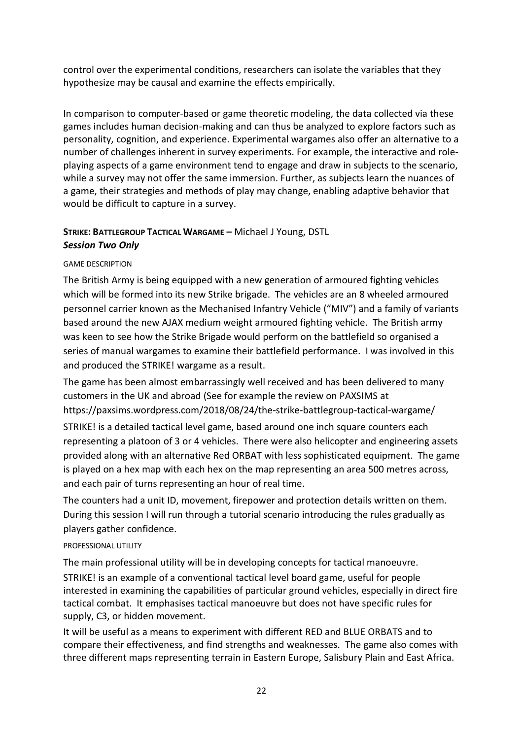control over the experimental conditions, researchers can isolate the variables that they hypothesize may be causal and examine the effects empirically.

In comparison to computer-based or game theoretic modeling, the data collected via these games includes human decision-making and can thus be analyzed to explore factors such as personality, cognition, and experience. Experimental wargames also offer an alternative to a number of challenges inherent in survey experiments. For example, the interactive and roleplaying aspects of a game environment tend to engage and draw in subjects to the scenario, while a survey may not offer the same immersion. Further, as subjects learn the nuances of a game, their strategies and methods of play may change, enabling adaptive behavior that would be difficult to capture in a survey.

## **STRIKE: BATTLEGROUP TACTICAL WARGAME –** Michael J Young, DSTL *Session Two Only*

### GAME DESCRIPTION

The British Army is being equipped with a new generation of armoured fighting vehicles which will be formed into its new Strike brigade. The vehicles are an 8 wheeled armoured personnel carrier known as the Mechanised Infantry Vehicle ("MIV") and a family of variants based around the new AJAX medium weight armoured fighting vehicle. The British army was keen to see how the Strike Brigade would perform on the battlefield so organised a series of manual wargames to examine their battlefield performance. I was involved in this and produced the STRIKE! wargame as a result.

The game has been almost embarrassingly well received and has been delivered to many customers in the UK and abroad (See for example the review on PAXSIMS at https://paxsims.wordpress.com/2018/08/24/the-strike-battlegroup-tactical-wargame/

STRIKE! is a detailed tactical level game, based around one inch square counters each representing a platoon of 3 or 4 vehicles. There were also helicopter and engineering assets provided along with an alternative Red ORBAT with less sophisticated equipment. The game is played on a hex map with each hex on the map representing an area 500 metres across, and each pair of turns representing an hour of real time.

The counters had a unit ID, movement, firepower and protection details written on them. During this session I will run through a tutorial scenario introducing the rules gradually as players gather confidence.

#### PROFESSIONAL UTILITY

The main professional utility will be in developing concepts for tactical manoeuvre. STRIKE! is an example of a conventional tactical level board game, useful for people interested in examining the capabilities of particular ground vehicles, especially in direct fire tactical combat. It emphasises tactical manoeuvre but does not have specific rules for supply, C3, or hidden movement.

It will be useful as a means to experiment with different RED and BLUE ORBATS and to compare their effectiveness, and find strengths and weaknesses. The game also comes with three different maps representing terrain in Eastern Europe, Salisbury Plain and East Africa.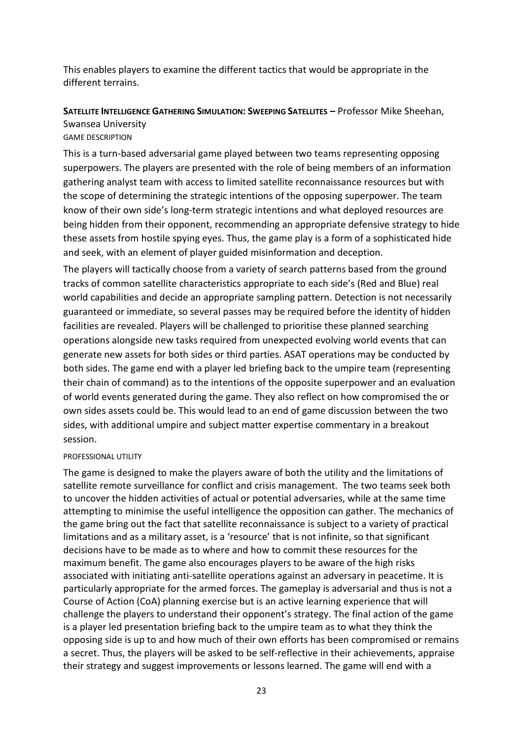This enables players to examine the different tactics that would be appropriate in the different terrains.

# **SATELLITE INTELLIGENCE GATHERING SIMULATION: SWEEPING SATELLITES –** Professor Mike Sheehan, Swansea University

#### GAME DESCRIPTION

This is a turn-based adversarial game played between two teams representing opposing superpowers. The players are presented with the role of being members of an information gathering analyst team with access to limited satellite reconnaissance resources but with the scope of determining the strategic intentions of the opposing superpower. The team know of their own side's long-term strategic intentions and what deployed resources are being hidden from their opponent, recommending an appropriate defensive strategy to hide these assets from hostile spying eyes. Thus, the game play is a form of a sophisticated hide and seek, with an element of player guided misinformation and deception.

The players will tactically choose from a variety of search patterns based from the ground tracks of common satellite characteristics appropriate to each side's (Red and Blue) real world capabilities and decide an appropriate sampling pattern. Detection is not necessarily guaranteed or immediate, so several passes may be required before the identity of hidden facilities are revealed. Players will be challenged to prioritise these planned searching operations alongside new tasks required from unexpected evolving world events that can generate new assets for both sides or third parties. ASAT operations may be conducted by both sides. The game end with a player led briefing back to the umpire team (representing their chain of command) as to the intentions of the opposite superpower and an evaluation of world events generated during the game. They also reflect on how compromised the or own sides assets could be. This would lead to an end of game discussion between the two sides, with additional umpire and subject matter expertise commentary in a breakout session.

#### PROFESSIONAL UTILITY

The game is designed to make the players aware of both the utility and the limitations of satellite remote surveillance for conflict and crisis management. The two teams seek both to uncover the hidden activities of actual or potential adversaries, while at the same time attempting to minimise the useful intelligence the opposition can gather. The mechanics of the game bring out the fact that satellite reconnaissance is subject to a variety of practical limitations and as a military asset, is a 'resource' that is not infinite, so that significant decisions have to be made as to where and how to commit these resources for the maximum benefit. The game also encourages players to be aware of the high risks associated with initiating anti-satellite operations against an adversary in peacetime. It is particularly appropriate for the armed forces. The gameplay is adversarial and thus is not a Course of Action (CoA) planning exercise but is an active learning experience that will challenge the players to understand their opponent's strategy. The final action of the game is a player led presentation briefing back to the umpire team as to what they think the opposing side is up to and how much of their own efforts has been compromised or remains a secret. Thus, the players will be asked to be self-reflective in their achievements, appraise their strategy and suggest improvements or lessons learned. The game will end with a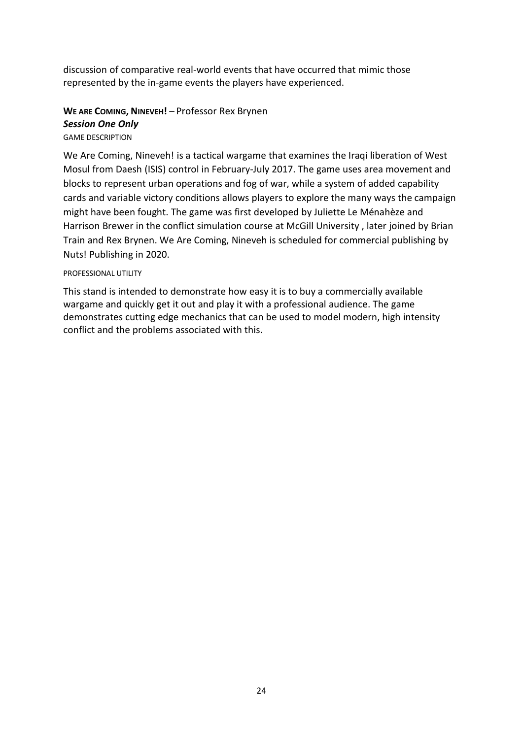discussion of comparative real-world events that have occurred that mimic those represented by the in-game events the players have experienced.

## **WE ARE COMING, NINEVEH!** – Professor Rex Brynen *Session One Only*

### GAME DESCRIPTION

We Are Coming, Nineveh! is a tactical wargame that examines the Iraqi liberation of West Mosul from Daesh (ISIS) control in February-July 2017. The game uses area movement and blocks to represent urban operations and fog of war, while a system of added capability cards and variable victory conditions allows players to explore the many ways the campaign might have been fought. The game was first developed by Juliette Le Ménahèze and Harrison Brewer in the conflict simulation course at McGill University , later joined by Brian Train and Rex Brynen. We Are Coming, Nineveh is scheduled for commercial publishing by Nuts! Publishing in 2020.

#### PROFESSIONAL UTILITY

This stand is intended to demonstrate how easy it is to buy a commercially available wargame and quickly get it out and play it with a professional audience. The game demonstrates cutting edge mechanics that can be used to model modern, high intensity conflict and the problems associated with this.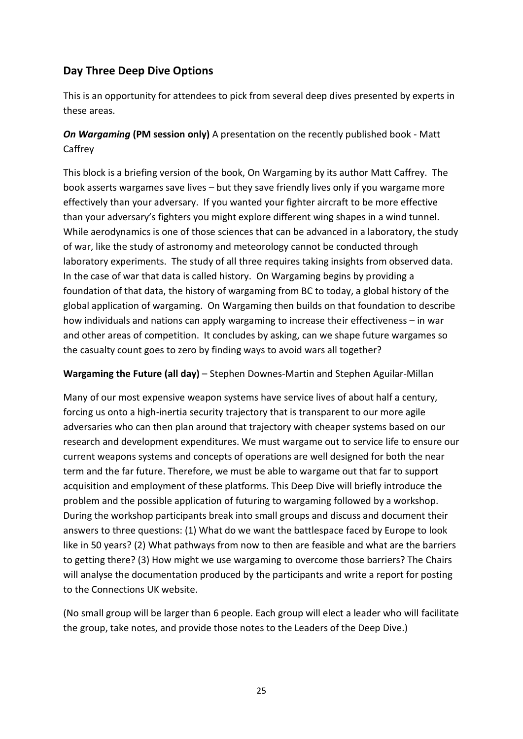# **Day Three Deep Dive Options**

This is an opportunity for attendees to pick from several deep dives presented by experts in these areas.

## *On Wargaming* **(PM session only)** A presentation on the recently published book - Matt Caffrey

This block is a briefing version of the book, On Wargaming by its author Matt Caffrey. The book asserts wargames save lives – but they save friendly lives only if you wargame more effectively than your adversary. If you wanted your fighter aircraft to be more effective than your adversary's fighters you might explore different wing shapes in a wind tunnel. While aerodynamics is one of those sciences that can be advanced in a laboratory, the study of war, like the study of astronomy and meteorology cannot be conducted through laboratory experiments. The study of all three requires taking insights from observed data. In the case of war that data is called history. On Wargaming begins by providing a foundation of that data, the history of wargaming from BC to today, a global history of the global application of wargaming. On Wargaming then builds on that foundation to describe how individuals and nations can apply wargaming to increase their effectiveness – in war and other areas of competition. It concludes by asking, can we shape future wargames so the casualty count goes to zero by finding ways to avoid wars all together?

## **Wargaming the Future (all day)** – Stephen Downes-Martin and Stephen Aguilar-Millan

Many of our most expensive weapon systems have service lives of about half a century, forcing us onto a high-inertia security trajectory that is transparent to our more agile adversaries who can then plan around that trajectory with cheaper systems based on our research and development expenditures. We must wargame out to service life to ensure our current weapons systems and concepts of operations are well designed for both the near term and the far future. Therefore, we must be able to wargame out that far to support acquisition and employment of these platforms. This Deep Dive will briefly introduce the problem and the possible application of futuring to wargaming followed by a workshop. During the workshop participants break into small groups and discuss and document their answers to three questions: (1) What do we want the battlespace faced by Europe to look like in 50 years? (2) What pathways from now to then are feasible and what are the barriers to getting there? (3) How might we use wargaming to overcome those barriers? The Chairs will analyse the documentation produced by the participants and write a report for posting to the Connections UK website.

(No small group will be larger than 6 people. Each group will elect a leader who will facilitate the group, take notes, and provide those notes to the Leaders of the Deep Dive.)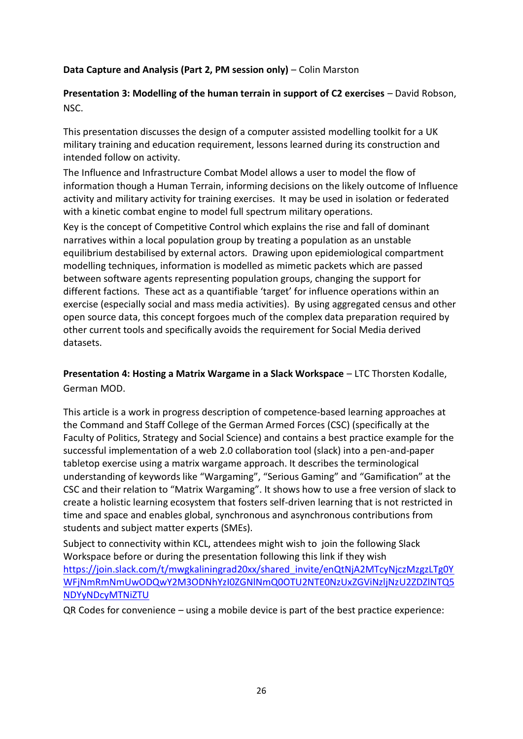## **Data Capture and Analysis (Part 2, PM session only)** – Colin Marston

**Presentation 3: Modelling of the human terrain in support of C2 exercises – David Robson,** NSC.

This presentation discusses the design of a computer assisted modelling toolkit for a UK military training and education requirement, lessons learned during its construction and intended follow on activity.

The Influence and Infrastructure Combat Model allows a user to model the flow of information though a Human Terrain, informing decisions on the likely outcome of Influence activity and military activity for training exercises. It may be used in isolation or federated with a kinetic combat engine to model full spectrum military operations.

Key is the concept of Competitive Control which explains the rise and fall of dominant narratives within a local population group by treating a population as an unstable equilibrium destabilised by external actors. Drawing upon epidemiological compartment modelling techniques, information is modelled as mimetic packets which are passed between software agents representing population groups, changing the support for different factions. These act as a quantifiable 'target' for influence operations within an exercise (especially social and mass media activities). By using aggregated census and other open source data, this concept forgoes much of the complex data preparation required by other current tools and specifically avoids the requirement for Social Media derived datasets.

**Presentation 4: Hosting a Matrix Wargame in a Slack Workspace** – LTC Thorsten Kodalle, German MOD.

This article is a work in progress description of competence-based learning approaches at the Command and Staff College of the German Armed Forces (CSC) (specifically at the Faculty of Politics, Strategy and Social Science) and contains a best practice example for the successful implementation of a web 2.0 collaboration tool (slack) into a pen-and-paper tabletop exercise using a matrix wargame approach. It describes the terminological understanding of keywords like "Wargaming", "Serious Gaming" and "Gamification" at the CSC and their relation to "Matrix Wargaming". It shows how to use a free version of slack to create a holistic learning ecosystem that fosters self-driven learning that is not restricted in time and space and enables global, synchronous and asynchronous contributions from students and subject matter experts (SMEs).

Subject to connectivity within KCL, attendees might wish to join the following Slack Workspace before or during the presentation following this link if they wish [https://join.slack.com/t/mwgkaliningrad20xx/shared\\_invite/enQtNjA2MTcyNjczMzgzLTg0Y](https://join.slack.com/t/mwgkaliningrad20xx/shared_invite/enQtNjA2MTcyNjczMzgzLTg0YWFjNmRmNmUwODQwY2M3ODNhYzI0ZGNlNmQ0OTU2NTE0NzUxZGViNzljNzU2ZDZlNTQ5NDYyNDcyMTNiZTU) [WFjNmRmNmUwODQwY2M3ODNhYzI0ZGNlNmQ0OTU2NTE0NzUxZGViNzljNzU2ZDZlNTQ5](https://join.slack.com/t/mwgkaliningrad20xx/shared_invite/enQtNjA2MTcyNjczMzgzLTg0YWFjNmRmNmUwODQwY2M3ODNhYzI0ZGNlNmQ0OTU2NTE0NzUxZGViNzljNzU2ZDZlNTQ5NDYyNDcyMTNiZTU) [NDYyNDcyMTNiZTU](https://join.slack.com/t/mwgkaliningrad20xx/shared_invite/enQtNjA2MTcyNjczMzgzLTg0YWFjNmRmNmUwODQwY2M3ODNhYzI0ZGNlNmQ0OTU2NTE0NzUxZGViNzljNzU2ZDZlNTQ5NDYyNDcyMTNiZTU) 

QR Codes for convenience – using a mobile device is part of the best practice experience: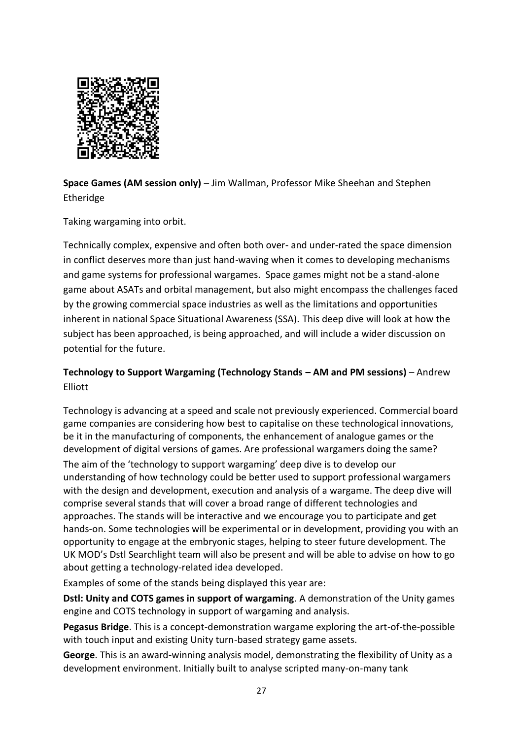

**Space Games (AM session only)** – Jim Wallman, Professor Mike Sheehan and Stephen Etheridge

Taking wargaming into orbit.

Technically complex, expensive and often both over- and under-rated the space dimension in conflict deserves more than just hand-waving when it comes to developing mechanisms and game systems for professional wargames. Space games might not be a stand-alone game about ASATs and orbital management, but also might encompass the challenges faced by the growing commercial space industries as well as the limitations and opportunities inherent in national Space Situational Awareness (SSA). This deep dive will look at how the subject has been approached, is being approached, and will include a wider discussion on potential for the future.

## **Technology to Support Wargaming (Technology Stands – AM and PM sessions)** – Andrew Elliott

Technology is advancing at a speed and scale not previously experienced. Commercial board game companies are considering how best to capitalise on these technological innovations, be it in the manufacturing of components, the enhancement of analogue games or the development of digital versions of games. Are professional wargamers doing the same? The aim of the 'technology to support wargaming' deep dive is to develop our understanding of how technology could be better used to support professional wargamers with the design and development, execution and analysis of a wargame. The deep dive will comprise several stands that will cover a broad range of different technologies and approaches. The stands will be interactive and we encourage you to participate and get hands-on. Some technologies will be experimental or in development, providing you with an opportunity to engage at the embryonic stages, helping to steer future development. The UK MOD's Dstl Searchlight team will also be present and will be able to advise on how to go about getting a technology-related idea developed.

Examples of some of the stands being displayed this year are:

**Dstl: Unity and COTS games in support of wargaming**. A demonstration of the Unity games engine and COTS technology in support of wargaming and analysis.

**Pegasus Bridge**. This is a concept-demonstration wargame exploring the art-of-the-possible with touch input and existing Unity turn-based strategy game assets.

**George**. This is an award-winning analysis model, demonstrating the flexibility of Unity as a development environment. Initially built to analyse scripted many-on-many tank